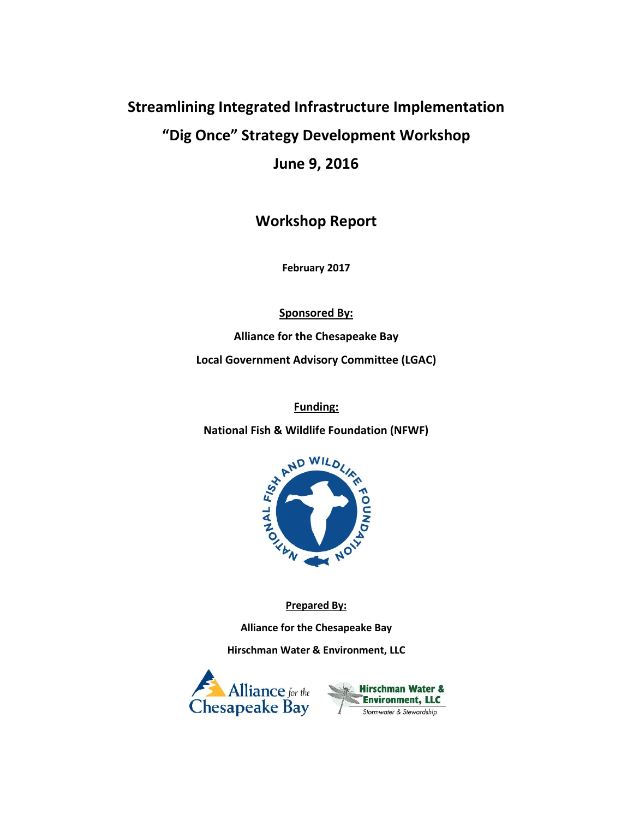# **Streamlining Integrated Infrastructure Implementation "Dig Once" Strategy Development Workshop**

**June 9, 2016**

**Workshop Report**

**February 2017**

**Sponsored By:**

**Alliance for the Chesapeake Bay Local Government Advisory Committee (LGAC)**

**National Fish & Wildlife Foundation (NFWF)**



**Prepared By:**

**Alliance for the Chesapeake Bay**

**Hirschman Water & Environment, LLC**



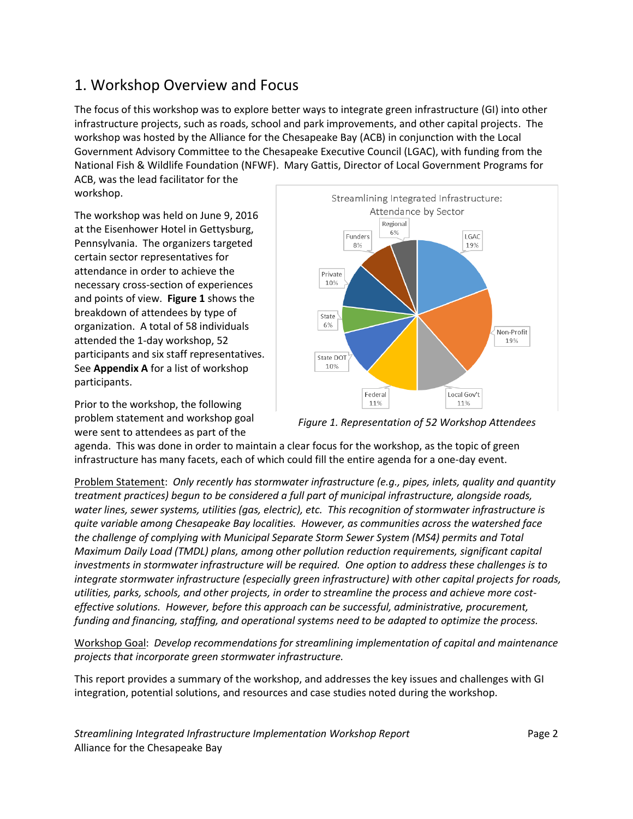### 1. Workshop Overview and Focus

The focus of this workshop was to explore better ways to integrate green infrastructure (GI) into other infrastructure projects, such as roads, school and park improvements, and other capital projects. The workshop was hosted by the Alliance for the Chesapeake Bay (ACB) in conjunction with the Local Government Advisory Committee to the Chesapeake Executive Council (LGAC), with funding from the National Fish & Wildlife Foundation (NFWF). Mary Gattis, Director of Local Government Programs for

ACB, was the lead facilitator for the workshop.

The workshop was held on June 9, 2016 at the Eisenhower Hotel in Gettysburg, Pennsylvania. The organizers targeted certain sector representatives for attendance in order to achieve the necessary cross-section of experiences and points of view. **Figure 1** shows the breakdown of attendees by type of organization. A total of 58 individuals attended the 1-day workshop, 52 participants and six staff representatives. See **Appendix A** for a list of workshop participants.

Prior to the workshop, the following problem statement and workshop goal were sent to attendees as part of the



*Figure 1. Representation of 52 Workshop Attendees*

agenda. This was done in order to maintain a clear focus for the workshop, as the topic of green infrastructure has many facets, each of which could fill the entire agenda for a one-day event.

Problem Statement: *Only recently has stormwater infrastructure (e.g., pipes, inlets, quality and quantity treatment practices) begun to be considered a full part of municipal infrastructure, alongside roads, water lines, sewer systems, utilities (gas, electric), etc. This recognition of stormwater infrastructure is quite variable among Chesapeake Bay localities. However, as communities across the watershed face the challenge of complying with Municipal Separate Storm Sewer System (MS4) permits and Total Maximum Daily Load (TMDL) plans, among other pollution reduction requirements, significant capital investments in stormwater infrastructure will be required. One option to address these challenges is to integrate stormwater infrastructure (especially green infrastructure) with other capital projects for roads, utilities, parks, schools, and other projects, in order to streamline the process and achieve more costeffective solutions. However, before this approach can be successful, administrative, procurement, funding and financing, staffing, and operational systems need to be adapted to optimize the process.*

Workshop Goal: *Develop recommendations for streamlining implementation of capital and maintenance projects that incorporate green stormwater infrastructure.*

This report provides a summary of the workshop, and addresses the key issues and challenges with GI integration, potential solutions, and resources and case studies noted during the workshop.

*Streamlining Integrated Infrastructure Implementation Workshop Report* Page 2 Alliance for the Chesapeake Bay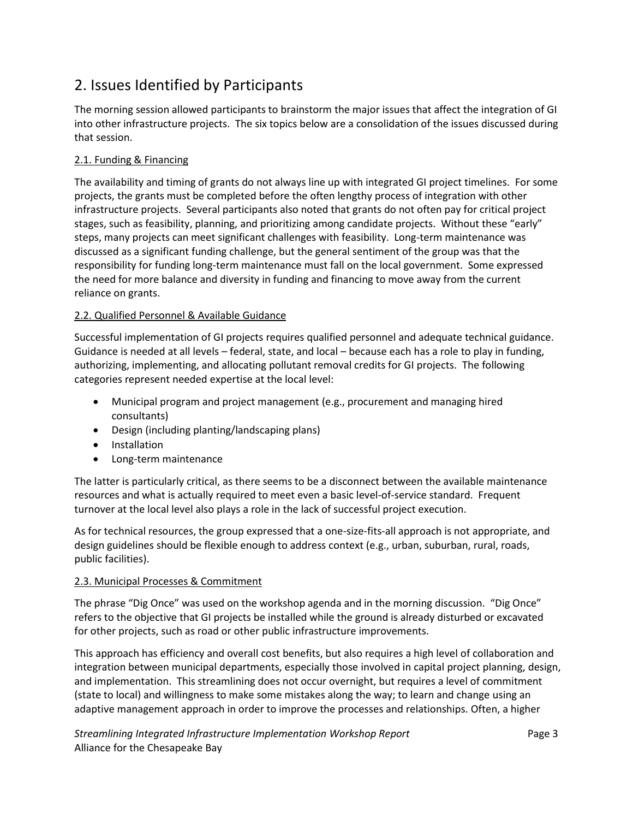## 2. Issues Identified by Participants

The morning session allowed participants to brainstorm the major issues that affect the integration of GI into other infrastructure projects. The six topics below are a consolidation of the issues discussed during that session.

#### 2.1. Funding & Financing

The availability and timing of grants do not always line up with integrated GI project timelines. For some projects, the grants must be completed before the often lengthy process of integration with other infrastructure projects. Several participants also noted that grants do not often pay for critical project stages, such as feasibility, planning, and prioritizing among candidate projects. Without these "early" steps, many projects can meet significant challenges with feasibility. Long-term maintenance was discussed as a significant funding challenge, but the general sentiment of the group was that the responsibility for funding long-term maintenance must fall on the local government. Some expressed the need for more balance and diversity in funding and financing to move away from the current reliance on grants.

#### 2.2. Qualified Personnel & Available Guidance

Successful implementation of GI projects requires qualified personnel and adequate technical guidance. Guidance is needed at all levels – federal, state, and local – because each has a role to play in funding, authorizing, implementing, and allocating pollutant removal credits for GI projects. The following categories represent needed expertise at the local level:

- Municipal program and project management (e.g., procurement and managing hired consultants)
- Design (including planting/landscaping plans)
- **•** Installation
- Long-term maintenance

The latter is particularly critical, as there seems to be a disconnect between the available maintenance resources and what is actually required to meet even a basic level-of-service standard. Frequent turnover at the local level also plays a role in the lack of successful project execution.

As for technical resources, the group expressed that a one-size-fits-all approach is not appropriate, and design guidelines should be flexible enough to address context (e.g., urban, suburban, rural, roads, public facilities).

#### 2.3. Municipal Processes & Commitment

The phrase "Dig Once" was used on the workshop agenda and in the morning discussion. "Dig Once" refers to the objective that GI projects be installed while the ground is already disturbed or excavated for other projects, such as road or other public infrastructure improvements.

This approach has efficiency and overall cost benefits, but also requires a high level of collaboration and integration between municipal departments, especially those involved in capital project planning, design, and implementation. This streamlining does not occur overnight, but requires a level of commitment (state to local) and willingness to make some mistakes along the way; to learn and change using an adaptive management approach in order to improve the processes and relationships. Often, a higher

*Streamlining Integrated Infrastructure Implementation Workshop Report* Page 3 Alliance for the Chesapeake Bay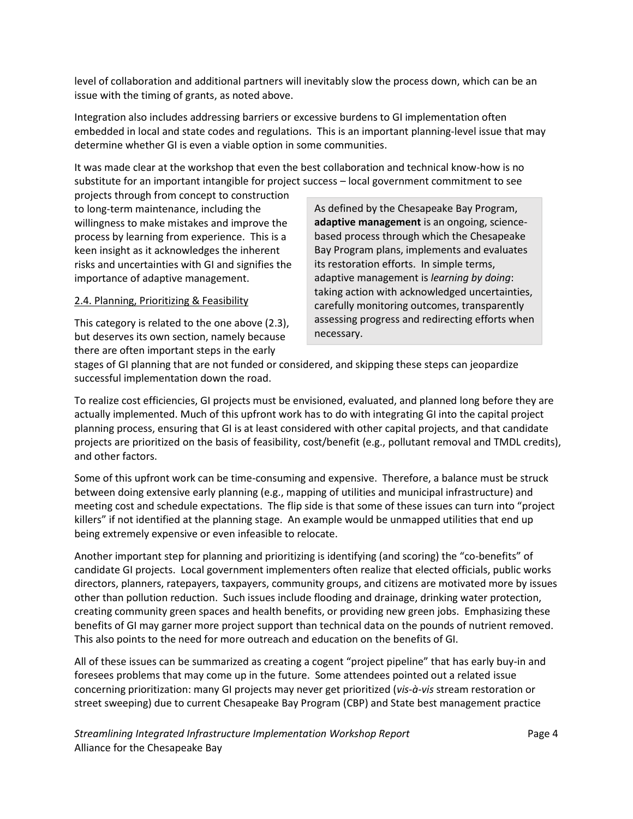level of collaboration and additional partners will inevitably slow the process down, which can be an issue with the timing of grants, as noted above.

Integration also includes addressing barriers or excessive burdens to GI implementation often embedded in local and state codes and regulations. This is an important planning-level issue that may determine whether GI is even a viable option in some communities.

It was made clear at the workshop that even the best collaboration and technical know-how is no substitute for an important intangible for project success – local government commitment to see

projects through from concept to construction to long-term maintenance, including the willingness to make mistakes and improve the process by learning from experience. This is a keen insight as it acknowledges the inherent risks and uncertainties with GI and signifies the importance of adaptive management.

#### 2.4. Planning, Prioritizing & Feasibility

This category is related to the one above (2.3), but deserves its own section, namely because there are often important steps in the early

As defined by the Chesapeake Bay Program, **adaptive management** is an ongoing, sciencebased process through which the Chesapeake Bay Program plans, implements and evaluates its restoration efforts. In simple terms, adaptive management is *learning by doing*: taking action with acknowledged uncertainties, carefully monitoring outcomes, transparently assessing progress and redirecting efforts when necessary.

stages of GI planning that are not funded or considered, and skipping these steps can jeopardize successful implementation down the road.

To realize cost efficiencies, GI projects must be envisioned, evaluated, and planned long before they are actually implemented. Much of this upfront work has to do with integrating GI into the capital project planning process, ensuring that GI is at least considered with other capital projects, and that candidate projects are prioritized on the basis of feasibility, cost/benefit (e.g., pollutant removal and TMDL credits), and other factors.

Some of this upfront work can be time-consuming and expensive. Therefore, a balance must be struck between doing extensive early planning (e.g., mapping of utilities and municipal infrastructure) and meeting cost and schedule expectations. The flip side is that some of these issues can turn into "project killers" if not identified at the planning stage. An example would be unmapped utilities that end up being extremely expensive or even infeasible to relocate.

Another important step for planning and prioritizing is identifying (and scoring) the "co-benefits" of candidate GI projects. Local government implementers often realize that elected officials, public works directors, planners, ratepayers, taxpayers, community groups, and citizens are motivated more by issues other than pollution reduction. Such issues include flooding and drainage, drinking water protection, creating community green spaces and health benefits, or providing new green jobs. Emphasizing these benefits of GI may garner more project support than technical data on the pounds of nutrient removed. This also points to the need for more outreach and education on the benefits of GI.

All of these issues can be summarized as creating a cogent "project pipeline" that has early buy-in and foresees problems that may come up in the future. Some attendees pointed out a related issue concerning prioritization: many GI projects may never get prioritized (*vis-à-vis* stream restoration or street sweeping) due to current Chesapeake Bay Program (CBP) and State best management practice

*Streamlining Integrated Infrastructure Implementation Workshop Report* Page 4 Alliance for the Chesapeake Bay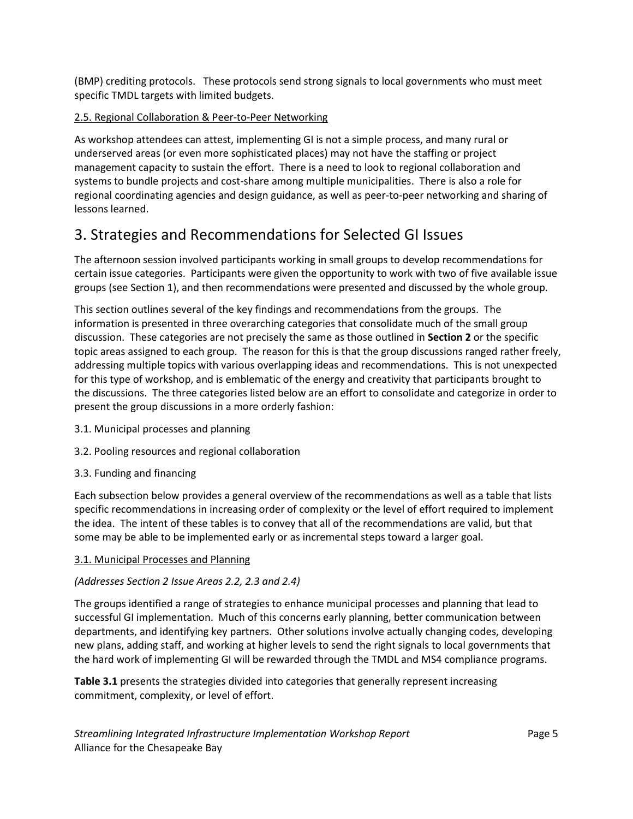(BMP) crediting protocols. These protocols send strong signals to local governments who must meet specific TMDL targets with limited budgets.

#### 2.5. Regional Collaboration & Peer-to-Peer Networking

As workshop attendees can attest, implementing GI is not a simple process, and many rural or underserved areas (or even more sophisticated places) may not have the staffing or project management capacity to sustain the effort. There is a need to look to regional collaboration and systems to bundle projects and cost-share among multiple municipalities. There is also a role for regional coordinating agencies and design guidance, as well as peer-to-peer networking and sharing of lessons learned.

## 3. Strategies and Recommendations for Selected GI Issues

The afternoon session involved participants working in small groups to develop recommendations for certain issue categories. Participants were given the opportunity to work with two of five available issue groups (see Section 1), and then recommendations were presented and discussed by the whole group.

This section outlines several of the key findings and recommendations from the groups. The information is presented in three overarching categories that consolidate much of the small group discussion. These categories are not precisely the same as those outlined in **Section 2** or the specific topic areas assigned to each group. The reason for this is that the group discussions ranged rather freely, addressing multiple topics with various overlapping ideas and recommendations. This is not unexpected for this type of workshop, and is emblematic of the energy and creativity that participants brought to the discussions. The three categories listed below are an effort to consolidate and categorize in order to present the group discussions in a more orderly fashion:

- 3.1. Municipal processes and planning
- 3.2. Pooling resources and regional collaboration
- 3.3. Funding and financing

Each subsection below provides a general overview of the recommendations as well as a table that lists specific recommendations in increasing order of complexity or the level of effort required to implement the idea. The intent of these tables is to convey that all of the recommendations are valid, but that some may be able to be implemented early or as incremental steps toward a larger goal.

#### 3.1. Municipal Processes and Planning

#### *(Addresses Section 2 Issue Areas 2.2, 2.3 and 2.4)*

The groups identified a range of strategies to enhance municipal processes and planning that lead to successful GI implementation. Much of this concerns early planning, better communication between departments, and identifying key partners. Other solutions involve actually changing codes, developing new plans, adding staff, and working at higher levels to send the right signals to local governments that the hard work of implementing GI will be rewarded through the TMDL and MS4 compliance programs.

**Table 3.1** presents the strategies divided into categories that generally represent increasing commitment, complexity, or level of effort.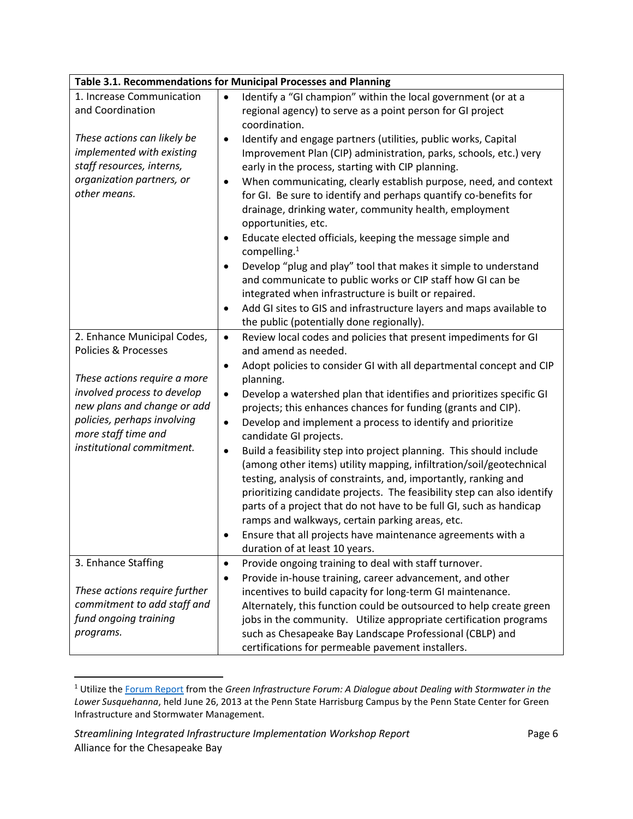|                                 | Table 3.1. Recommendations for Municipal Processes and Planning                                                                   |
|---------------------------------|-----------------------------------------------------------------------------------------------------------------------------------|
| 1. Increase Communication       | Identify a "GI champion" within the local government (or at a<br>$\bullet$                                                        |
| and Coordination                | regional agency) to serve as a point person for GI project                                                                        |
|                                 | coordination.                                                                                                                     |
| These actions can likely be     | Identify and engage partners (utilities, public works, Capital<br>$\bullet$                                                       |
| implemented with existing       | Improvement Plan (CIP) administration, parks, schools, etc.) very                                                                 |
| staff resources, interns,       | early in the process, starting with CIP planning.                                                                                 |
| organization partners, or       | When communicating, clearly establish purpose, need, and context<br>$\bullet$                                                     |
| other means.                    | for GI. Be sure to identify and perhaps quantify co-benefits for                                                                  |
|                                 | drainage, drinking water, community health, employment                                                                            |
|                                 | opportunities, etc.                                                                                                               |
|                                 | Educate elected officials, keeping the message simple and<br>٠                                                                    |
|                                 | compelling. $1$                                                                                                                   |
|                                 | Develop "plug and play" tool that makes it simple to understand<br>$\bullet$                                                      |
|                                 | and communicate to public works or CIP staff how GI can be                                                                        |
|                                 | integrated when infrastructure is built or repaired.                                                                              |
|                                 | Add GI sites to GIS and infrastructure layers and maps available to<br>$\bullet$                                                  |
|                                 | the public (potentially done regionally).                                                                                         |
| 2. Enhance Municipal Codes,     | Review local codes and policies that present impediments for GI<br>$\bullet$                                                      |
| <b>Policies &amp; Processes</b> | and amend as needed.                                                                                                              |
|                                 | Adopt policies to consider GI with all departmental concept and CIP<br>$\bullet$                                                  |
| These actions require a more    | planning.                                                                                                                         |
| involved process to develop     | Develop a watershed plan that identifies and prioritizes specific GI<br>$\bullet$                                                 |
| new plans and change or add     | projects; this enhances chances for funding (grants and CIP).                                                                     |
| policies, perhaps involving     | Develop and implement a process to identify and prioritize<br>$\bullet$                                                           |
| more staff time and             | candidate GI projects.                                                                                                            |
| institutional commitment.       | Build a feasibility step into project planning. This should include<br>$\bullet$                                                  |
|                                 | (among other items) utility mapping, infiltration/soil/geotechnical                                                               |
|                                 | testing, analysis of constraints, and, importantly, ranking and                                                                   |
|                                 | prioritizing candidate projects. The feasibility step can also identify                                                           |
|                                 | parts of a project that do not have to be full GI, such as handicap                                                               |
|                                 | ramps and walkways, certain parking areas, etc.                                                                                   |
|                                 | Ensure that all projects have maintenance agreements with a                                                                       |
| 3. Enhance Staffing             | duration of at least 10 years.                                                                                                    |
|                                 | Provide ongoing training to deal with staff turnover.<br>$\bullet$                                                                |
| These actions require further   | Provide in-house training, career advancement, and other<br>$\bullet$                                                             |
| commitment to add staff and     | incentives to build capacity for long-term GI maintenance.<br>Alternately, this function could be outsourced to help create green |
| fund ongoing training           | jobs in the community. Utilize appropriate certification programs                                                                 |
| programs.                       | such as Chesapeake Bay Landscape Professional (CBLP) and                                                                          |
|                                 |                                                                                                                                   |
|                                 | certifications for permeable pavement installers.                                                                                 |

<sup>1</sup> Utilize the [Forum Report](http://agsci.psu.edu/aec/research-extension/research-centers/center-for-green-infrastructure-and-stormwater/green-infrastructure-forum-report-1) from the *Green Infrastructure Forum: A Dialogue about Dealing with Stormwater in the Lower Susquehanna*, held June 26, 2013 at the Penn State Harrisburg Campus by the Penn State Center for Green Infrastructure and Stormwater Management.

 $\overline{\phantom{a}}$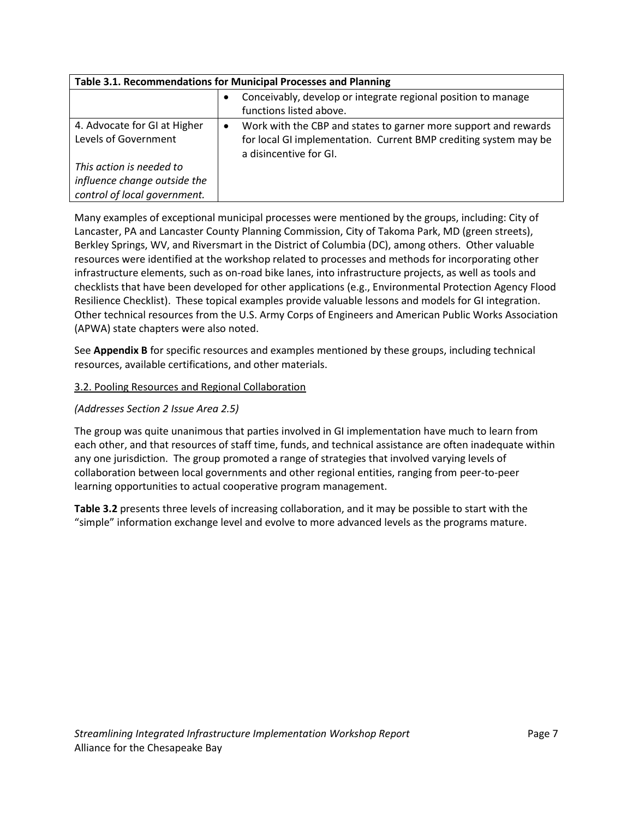| Table 3.1. Recommendations for Municipal Processes and Planning                          |                                                                                                                                                                            |  |  |
|------------------------------------------------------------------------------------------|----------------------------------------------------------------------------------------------------------------------------------------------------------------------------|--|--|
|                                                                                          | Conceivably, develop or integrate regional position to manage<br>functions listed above.                                                                                   |  |  |
| 4. Advocate for GI at Higher<br>Levels of Government                                     | Work with the CBP and states to garner more support and rewards<br>$\bullet$<br>for local GI implementation. Current BMP crediting system may be<br>a disincentive for GI. |  |  |
| This action is needed to<br>influence change outside the<br>control of local government. |                                                                                                                                                                            |  |  |

Many examples of exceptional municipal processes were mentioned by the groups, including: City of Lancaster, PA and Lancaster County Planning Commission, City of Takoma Park, MD (green streets), Berkley Springs, WV, and Riversmart in the District of Columbia (DC), among others. Other valuable resources were identified at the workshop related to processes and methods for incorporating other infrastructure elements, such as on-road bike lanes, into infrastructure projects, as well as tools and checklists that have been developed for other applications (e.g., Environmental Protection Agency Flood Resilience Checklist). These topical examples provide valuable lessons and models for GI integration. Other technical resources from the U.S. Army Corps of Engineers and American Public Works Association (APWA) state chapters were also noted.

See **Appendix B** for specific resources and examples mentioned by these groups, including technical resources, available certifications, and other materials.

#### 3.2. Pooling Resources and Regional Collaboration

#### *(Addresses Section 2 Issue Area 2.5)*

The group was quite unanimous that parties involved in GI implementation have much to learn from each other, and that resources of staff time, funds, and technical assistance are often inadequate within any one jurisdiction. The group promoted a range of strategies that involved varying levels of collaboration between local governments and other regional entities, ranging from peer-to-peer learning opportunities to actual cooperative program management.

**Table 3.2** presents three levels of increasing collaboration, and it may be possible to start with the "simple" information exchange level and evolve to more advanced levels as the programs mature.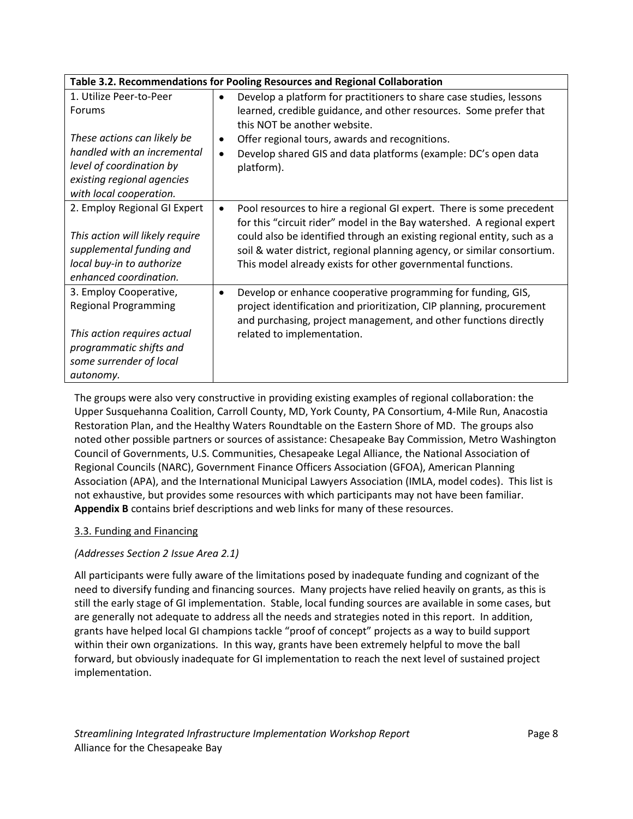|                                                                                                                                                                                      | Table 3.2. Recommendations for Pooling Resources and Regional Collaboration                                                                                                                                                                                                                                                                                                      |
|--------------------------------------------------------------------------------------------------------------------------------------------------------------------------------------|----------------------------------------------------------------------------------------------------------------------------------------------------------------------------------------------------------------------------------------------------------------------------------------------------------------------------------------------------------------------------------|
| 1. Utilize Peer-to-Peer<br>Forums<br>These actions can likely be<br>handled with an incremental<br>level of coordination by<br>existing regional agencies<br>with local cooperation. | Develop a platform for practitioners to share case studies, lessons<br>$\bullet$<br>learned, credible guidance, and other resources. Some prefer that<br>this NOT be another website.<br>Offer regional tours, awards and recognitions.<br>$\bullet$<br>Develop shared GIS and data platforms (example: DC's open data<br>$\bullet$<br>platform).                                |
| 2. Employ Regional GI Expert<br>This action will likely require<br>supplemental funding and<br>local buy-in to authorize<br>enhanced coordination.                                   | Pool resources to hire a regional GI expert. There is some precedent<br>$\bullet$<br>for this "circuit rider" model in the Bay watershed. A regional expert<br>could also be identified through an existing regional entity, such as a<br>soil & water district, regional planning agency, or similar consortium.<br>This model already exists for other governmental functions. |
| 3. Employ Cooperative,<br><b>Regional Programming</b><br>This action requires actual<br>programmatic shifts and<br>some surrender of local<br>autonomy.                              | Develop or enhance cooperative programming for funding, GIS,<br>$\bullet$<br>project identification and prioritization, CIP planning, procurement<br>and purchasing, project management, and other functions directly<br>related to implementation.                                                                                                                              |

The groups were also very constructive in providing existing examples of regional collaboration: the Upper Susquehanna Coalition, Carroll County, MD, York County, PA Consortium, 4-Mile Run, Anacostia Restoration Plan, and the Healthy Waters Roundtable on the Eastern Shore of MD. The groups also noted other possible partners or sources of assistance: Chesapeake Bay Commission, Metro Washington Council of Governments, U.S. Communities, Chesapeake Legal Alliance, the National Association of Regional Councils (NARC), Government Finance Officers Association (GFOA), American Planning Association (APA), and the International Municipal Lawyers Association (IMLA, model codes). This list is not exhaustive, but provides some resources with which participants may not have been familiar. **Appendix B** contains brief descriptions and web links for many of these resources.

#### 3.3. Funding and Financing

#### *(Addresses Section 2 Issue Area 2.1)*

All participants were fully aware of the limitations posed by inadequate funding and cognizant of the need to diversify funding and financing sources. Many projects have relied heavily on grants, as this is still the early stage of GI implementation. Stable, local funding sources are available in some cases, but are generally not adequate to address all the needs and strategies noted in this report. In addition, grants have helped local GI champions tackle "proof of concept" projects as a way to build support within their own organizations. In this way, grants have been extremely helpful to move the ball forward, but obviously inadequate for GI implementation to reach the next level of sustained project implementation.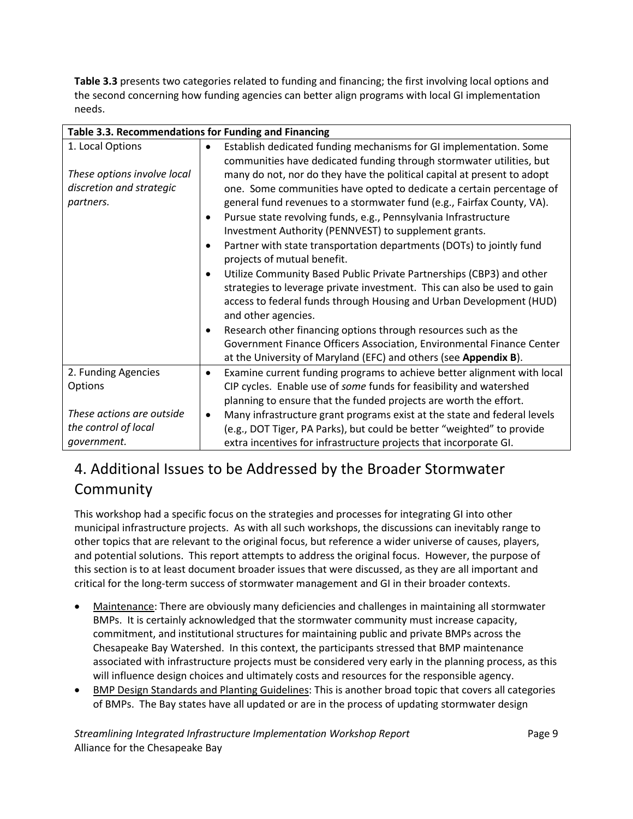**Table 3.3** presents two categories related to funding and financing; the first involving local options and the second concerning how funding agencies can better align programs with local GI implementation needs.

| Table 3.3. Recommendations for Funding and Financing                                     |                                     |                                                                                                                                                                                                                                                                                                                                                                                                                                                                                                                                                                             |
|------------------------------------------------------------------------------------------|-------------------------------------|-----------------------------------------------------------------------------------------------------------------------------------------------------------------------------------------------------------------------------------------------------------------------------------------------------------------------------------------------------------------------------------------------------------------------------------------------------------------------------------------------------------------------------------------------------------------------------|
| 1. Local Options<br>These options involve local<br>discretion and strategic<br>partners. | $\bullet$<br>$\bullet$<br>$\bullet$ | Establish dedicated funding mechanisms for GI implementation. Some<br>communities have dedicated funding through stormwater utilities, but<br>many do not, nor do they have the political capital at present to adopt<br>one. Some communities have opted to dedicate a certain percentage of<br>general fund revenues to a stormwater fund (e.g., Fairfax County, VA).<br>Pursue state revolving funds, e.g., Pennsylvania Infrastructure<br>Investment Authority (PENNVEST) to supplement grants.<br>Partner with state transportation departments (DOTs) to jointly fund |
|                                                                                          | $\bullet$<br>$\bullet$              | projects of mutual benefit.<br>Utilize Community Based Public Private Partnerships (CBP3) and other<br>strategies to leverage private investment. This can also be used to gain<br>access to federal funds through Housing and Urban Development (HUD)<br>and other agencies.<br>Research other financing options through resources such as the<br>Government Finance Officers Association, Environmental Finance Center<br>at the University of Maryland (EFC) and others (see Appendix B).                                                                                |
| 2. Funding Agencies<br>Options                                                           | $\bullet$                           | Examine current funding programs to achieve better alignment with local<br>CIP cycles. Enable use of some funds for feasibility and watershed<br>planning to ensure that the funded projects are worth the effort.                                                                                                                                                                                                                                                                                                                                                          |
| These actions are outside<br>the control of local<br>government.                         | $\bullet$                           | Many infrastructure grant programs exist at the state and federal levels<br>(e.g., DOT Tiger, PA Parks), but could be better "weighted" to provide<br>extra incentives for infrastructure projects that incorporate GI.                                                                                                                                                                                                                                                                                                                                                     |

## 4. Additional Issues to be Addressed by the Broader Stormwater Community

This workshop had a specific focus on the strategies and processes for integrating GI into other municipal infrastructure projects. As with all such workshops, the discussions can inevitably range to other topics that are relevant to the original focus, but reference a wider universe of causes, players, and potential solutions. This report attempts to address the original focus. However, the purpose of this section is to at least document broader issues that were discussed, as they are all important and critical for the long-term success of stormwater management and GI in their broader contexts.

- Maintenance: There are obviously many deficiencies and challenges in maintaining all stormwater BMPs. It is certainly acknowledged that the stormwater community must increase capacity, commitment, and institutional structures for maintaining public and private BMPs across the Chesapeake Bay Watershed. In this context, the participants stressed that BMP maintenance associated with infrastructure projects must be considered very early in the planning process, as this will influence design choices and ultimately costs and resources for the responsible agency.
- BMP Design Standards and Planting Guidelines: This is another broad topic that covers all categories of BMPs. The Bay states have all updated or are in the process of updating stormwater design

*Streamlining Integrated Infrastructure Implementation Workshop Report* Page 9 Alliance for the Chesapeake Bay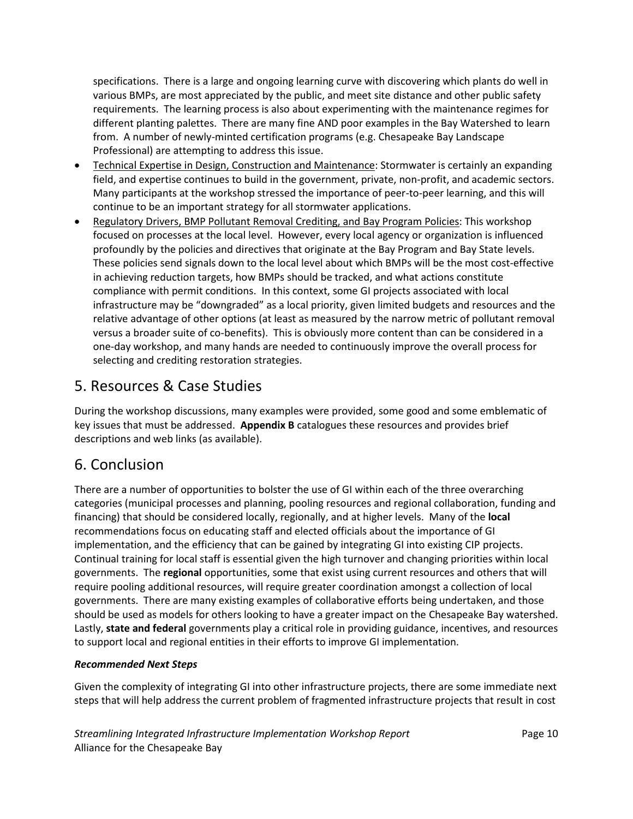specifications. There is a large and ongoing learning curve with discovering which plants do well in various BMPs, are most appreciated by the public, and meet site distance and other public safety requirements. The learning process is also about experimenting with the maintenance regimes for different planting palettes. There are many fine AND poor examples in the Bay Watershed to learn from. A number of newly-minted certification programs (e.g. Chesapeake Bay Landscape Professional) are attempting to address this issue.

- Technical Expertise in Design, Construction and Maintenance: Stormwater is certainly an expanding field, and expertise continues to build in the government, private, non-profit, and academic sectors. Many participants at the workshop stressed the importance of peer-to-peer learning, and this will continue to be an important strategy for all stormwater applications.
- Regulatory Drivers, BMP Pollutant Removal Crediting, and Bay Program Policies: This workshop focused on processes at the local level. However, every local agency or organization is influenced profoundly by the policies and directives that originate at the Bay Program and Bay State levels. These policies send signals down to the local level about which BMPs will be the most cost-effective in achieving reduction targets, how BMPs should be tracked, and what actions constitute compliance with permit conditions. In this context, some GI projects associated with local infrastructure may be "downgraded" as a local priority, given limited budgets and resources and the relative advantage of other options (at least as measured by the narrow metric of pollutant removal versus a broader suite of co-benefits). This is obviously more content than can be considered in a one-day workshop, and many hands are needed to continuously improve the overall process for selecting and crediting restoration strategies.

### 5. Resources & Case Studies

During the workshop discussions, many examples were provided, some good and some emblematic of key issues that must be addressed. **Appendix B** catalogues these resources and provides brief descriptions and web links (as available).

## 6. Conclusion

There are a number of opportunities to bolster the use of GI within each of the three overarching categories (municipal processes and planning, pooling resources and regional collaboration, funding and financing) that should be considered locally, regionally, and at higher levels. Many of the **local**  recommendations focus on educating staff and elected officials about the importance of GI implementation, and the efficiency that can be gained by integrating GI into existing CIP projects. Continual training for local staff is essential given the high turnover and changing priorities within local governments. The **regional** opportunities, some that exist using current resources and others that will require pooling additional resources, will require greater coordination amongst a collection of local governments. There are many existing examples of collaborative efforts being undertaken, and those should be used as models for others looking to have a greater impact on the Chesapeake Bay watershed. Lastly, **state and federal** governments play a critical role in providing guidance, incentives, and resources to support local and regional entities in their efforts to improve GI implementation.

#### *Recommended Next Steps*

Given the complexity of integrating GI into other infrastructure projects, there are some immediate next steps that will help address the current problem of fragmented infrastructure projects that result in cost

*Streamlining Integrated Infrastructure Implementation Workshop Report* Page 10 Alliance for the Chesapeake Bay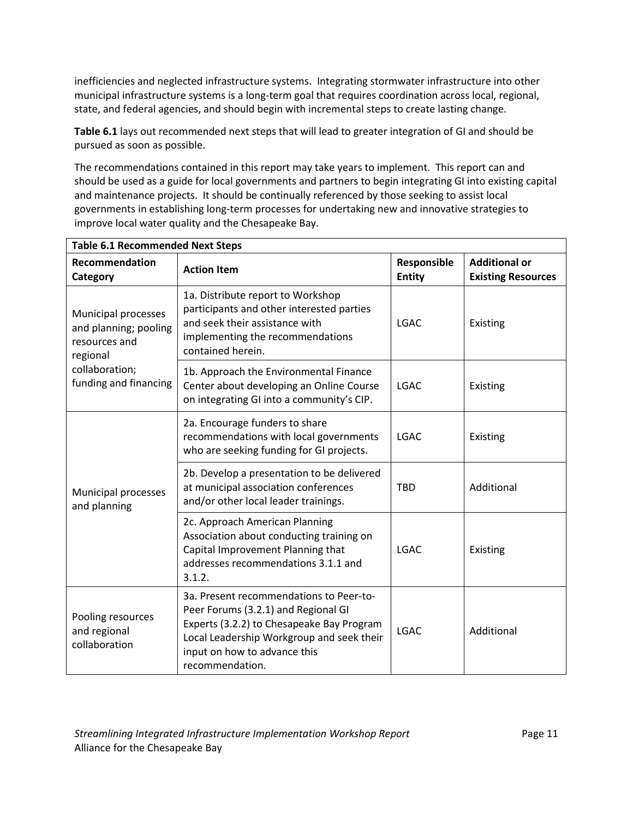inefficiencies and neglected infrastructure systems. Integrating stormwater infrastructure into other municipal infrastructure systems is a long-term goal that requires coordination across local, regional, state, and federal agencies, and should begin with incremental steps to create lasting change.

**Table 6.1** lays out recommended next steps that will lead to greater integration of GI and should be pursued as soon as possible.

The recommendations contained in this report may take years to implement. This report can and should be used as a guide for local governments and partners to begin integrating GI into existing capital and maintenance projects. It should be continually referenced by those seeking to assist local governments in establishing long-term processes for undertaking new and innovative strategies to improve local water quality and the Chesapeake Bay.

| <b>Table 6.1 Recommended Next Steps</b>                                                                              |                                                                                                                                                                                                                             |                              |                                                   |  |  |
|----------------------------------------------------------------------------------------------------------------------|-----------------------------------------------------------------------------------------------------------------------------------------------------------------------------------------------------------------------------|------------------------------|---------------------------------------------------|--|--|
| Recommendation<br>Category                                                                                           | <b>Action Item</b>                                                                                                                                                                                                          | Responsible<br><b>Entity</b> | <b>Additional or</b><br><b>Existing Resources</b> |  |  |
| Municipal processes<br>and planning; pooling<br>resources and<br>regional<br>collaboration;<br>funding and financing | 1a. Distribute report to Workshop<br>participants and other interested parties<br>and seek their assistance with<br>implementing the recommendations<br>contained herein.                                                   | <b>LGAC</b>                  | Existing                                          |  |  |
|                                                                                                                      | 1b. Approach the Environmental Finance<br>Center about developing an Online Course<br>on integrating GI into a community's CIP.                                                                                             | <b>LGAC</b>                  | Existing                                          |  |  |
| Municipal processes<br>and planning                                                                                  | 2a. Encourage funders to share<br>recommendations with local governments<br>who are seeking funding for GI projects.                                                                                                        | <b>LGAC</b>                  | Existing                                          |  |  |
|                                                                                                                      | 2b. Develop a presentation to be delivered<br>at municipal association conferences<br>and/or other local leader trainings.                                                                                                  | <b>TBD</b>                   | Additional                                        |  |  |
|                                                                                                                      | 2c. Approach American Planning<br>Association about conducting training on<br>Capital Improvement Planning that<br>addresses recommendations 3.1.1 and<br>3.1.2.                                                            | <b>LGAC</b>                  | Existing                                          |  |  |
| Pooling resources<br>and regional<br>collaboration                                                                   | 3a. Present recommendations to Peer-to-<br>Peer Forums (3.2.1) and Regional GI<br>Experts (3.2.2) to Chesapeake Bay Program<br>Local Leadership Workgroup and seek their<br>input on how to advance this<br>recommendation. | <b>LGAC</b>                  | Additional                                        |  |  |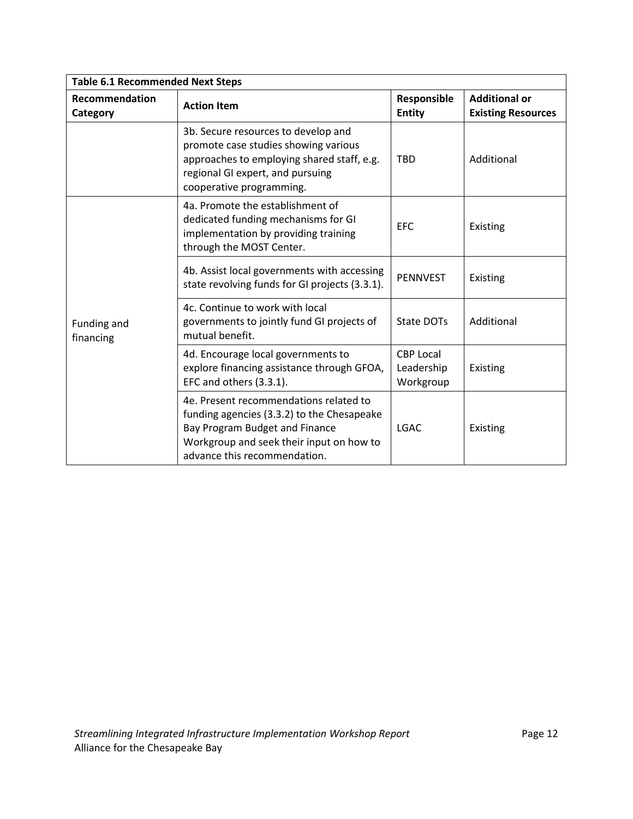| <b>Table 6.1 Recommended Next Steps</b> |                                                                                                                                                                                                    |                                             |                                                   |  |  |
|-----------------------------------------|----------------------------------------------------------------------------------------------------------------------------------------------------------------------------------------------------|---------------------------------------------|---------------------------------------------------|--|--|
| Recommendation<br>Category              | <b>Action Item</b>                                                                                                                                                                                 | Responsible<br><b>Entity</b>                | <b>Additional or</b><br><b>Existing Resources</b> |  |  |
|                                         | 3b. Secure resources to develop and<br>promote case studies showing various<br>approaches to employing shared staff, e.g.<br>regional GI expert, and pursuing<br>cooperative programming.          | <b>TBD</b>                                  | Additional                                        |  |  |
| Funding and<br>financing                | 4a. Promote the establishment of<br>dedicated funding mechanisms for GI<br>implementation by providing training<br>through the MOST Center.                                                        | <b>EFC</b>                                  | Existing                                          |  |  |
|                                         | 4b. Assist local governments with accessing<br>state revolving funds for GI projects (3.3.1).                                                                                                      | <b>PENNVEST</b>                             | Existing                                          |  |  |
|                                         | 4c. Continue to work with local<br>governments to jointly fund GI projects of<br>mutual benefit.                                                                                                   | State DOTs                                  | Additional                                        |  |  |
|                                         | 4d. Encourage local governments to<br>explore financing assistance through GFOA,<br>EFC and others (3.3.1).                                                                                        | <b>CBP Local</b><br>Leadership<br>Workgroup | Existing                                          |  |  |
|                                         | 4e. Present recommendations related to<br>funding agencies (3.3.2) to the Chesapeake<br>Bay Program Budget and Finance<br>Workgroup and seek their input on how to<br>advance this recommendation. | <b>LGAC</b>                                 | Existing                                          |  |  |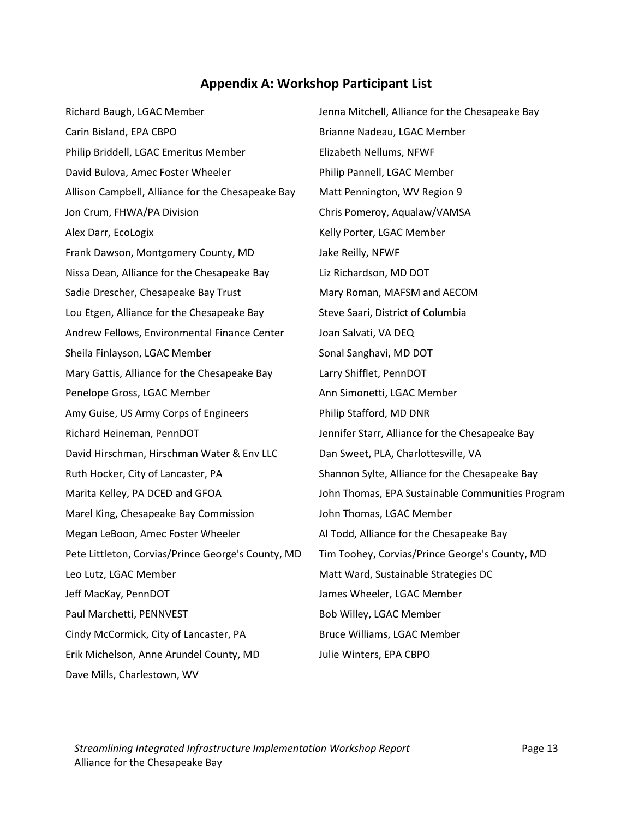#### **Appendix A: Workshop Participant List**

Richard Baugh, LGAC Member **Jenna Mitchell, Alliance for the Chesapeake Bay** Carin Bisland, EPA CBPO **Brianne Nadeau, LGAC Member** Philip Briddell, LGAC Emeritus Member Elizabeth Nellums, NFWF David Bulova, Amec Foster Wheeler Philip Pannell, LGAC Member Allison Campbell, Alliance for the Chesapeake Bay Matt Pennington, WV Region 9 Jon Crum, FHWA/PA Division Chris Pomeroy, Aqualaw/VAMSA Alex Darr, EcoLogix **Kelly Porter, LGAC Member** Frank Dawson, Montgomery County, MD Jake Reilly, NFWF Nissa Dean, Alliance for the Chesapeake Bay Liz Richardson, MD DOT Sadie Drescher, Chesapeake Bay Trust Mary Roman, MAFSM and AECOM Lou Etgen, Alliance for the Chesapeake Bay Steve Saari, District of Columbia Andrew Fellows, Environmental Finance Center Joan Salvati, VA DEQ Sheila Finlayson, LGAC Member Sonal Sanghavi, MD DOT Mary Gattis, Alliance for the Chesapeake Bay Larry Shifflet, PennDOT Penelope Gross, LGAC Member Ann Simonetti, LGAC Member Amy Guise, US Army Corps of Engineers Philip Stafford, MD DNR Richard Heineman, PennDOT Jennifer Starr, Alliance for the Chesapeake Bay David Hirschman, Hirschman Water & Env LLC Dan Sweet, PLA, Charlottesville, VA Ruth Hocker, City of Lancaster, PA Shannon Sylte, Alliance for the Chesapeake Bay Marel King, Chesapeake Bay Commission John Thomas, LGAC Member Megan LeBoon, Amec Foster Wheeler **Al Todd, Alliance for the Chesapeake Bay** Pete Littleton, Corvias/Prince George's County, MD Tim Toohey, Corvias/Prince George's County, MD Leo Lutz, LGAC Member **Matt Ward, Sustainable Strategies DC** Matt Ward, Sustainable Strategies DC Jeff MacKay, PennDOT James Wheeler, LGAC Member Paul Marchetti, PENNVEST Bob Willey, LGAC Member Cindy McCormick, City of Lancaster, PA Bruce Williams, LGAC Member Erik Michelson, Anne Arundel County, MD Julie Winters, EPA CBPO Dave Mills, Charlestown, WV

Marita Kelley, PA DCED and GFOA John Thomas, EPA Sustainable Communities Program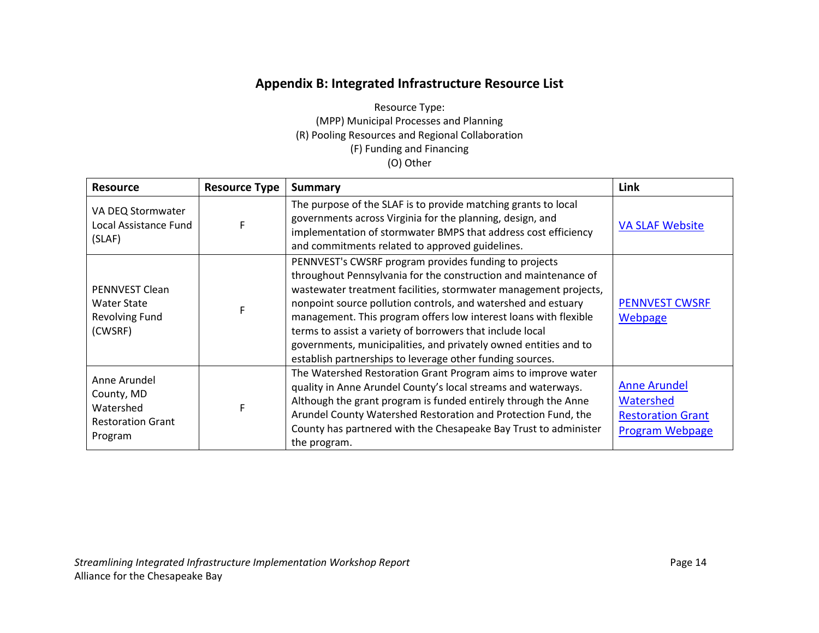#### **Appendix B: Integrated Infrastructure Resource List**

Resource Type: (MPP) Municipal Processes and Planning (R) Pooling Resources and Regional Collaboration (F) Funding and Financing (O) Other

| <b>Resource</b>                                                                | <b>Resource Type</b> | Summary                                                                                                                                                                                                                                                                                                                                                                                                                                                                                                                         | Link                                                                                   |
|--------------------------------------------------------------------------------|----------------------|---------------------------------------------------------------------------------------------------------------------------------------------------------------------------------------------------------------------------------------------------------------------------------------------------------------------------------------------------------------------------------------------------------------------------------------------------------------------------------------------------------------------------------|----------------------------------------------------------------------------------------|
| VA DEQ Stormwater<br>Local Assistance Fund<br>(SLAF)                           |                      | The purpose of the SLAF is to provide matching grants to local<br>governments across Virginia for the planning, design, and<br>implementation of stormwater BMPS that address cost efficiency<br>and commitments related to approved guidelines.                                                                                                                                                                                                                                                                                | <b>VA SLAF Website</b>                                                                 |
| PENNVEST Clean<br><b>Water State</b><br><b>Revolving Fund</b><br>(CWSRF)       |                      | PENNVEST's CWSRF program provides funding to projects<br>throughout Pennsylvania for the construction and maintenance of<br>wastewater treatment facilities, stormwater management projects,<br>nonpoint source pollution controls, and watershed and estuary<br>management. This program offers low interest loans with flexible<br>terms to assist a variety of borrowers that include local<br>governments, municipalities, and privately owned entities and to<br>establish partnerships to leverage other funding sources. | <b>PENNVEST CWSRF</b><br>Webpage                                                       |
| Anne Arundel<br>County, MD<br>Watershed<br><b>Restoration Grant</b><br>Program |                      | The Watershed Restoration Grant Program aims to improve water<br>quality in Anne Arundel County's local streams and waterways.<br>Although the grant program is funded entirely through the Anne<br>Arundel County Watershed Restoration and Protection Fund, the<br>County has partnered with the Chesapeake Bay Trust to administer<br>the program.                                                                                                                                                                           | <b>Anne Arundel</b><br>Watershed<br><b>Restoration Grant</b><br><b>Program Webpage</b> |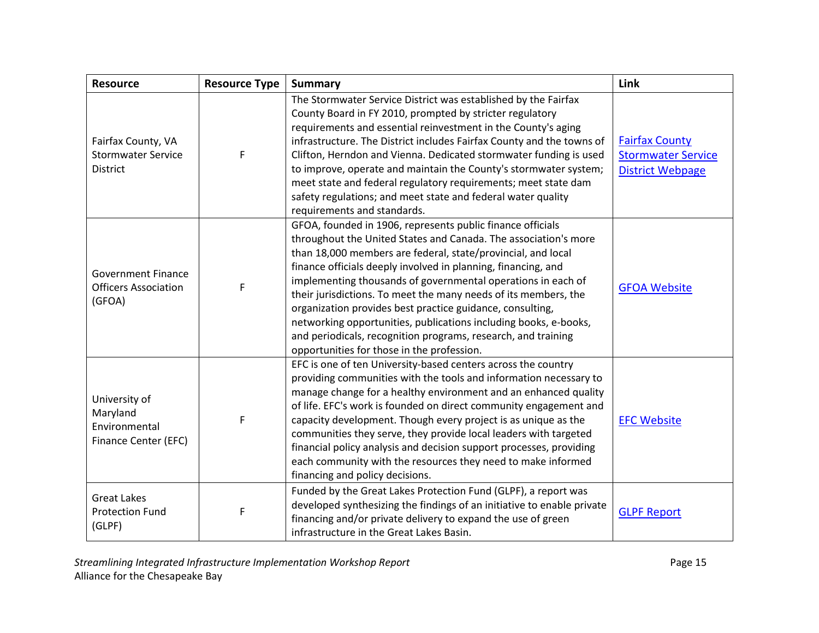| <b>Resource</b>                                                    | <b>Resource Type</b> | <b>Summary</b>                                                                                                                                                                                                                                                                                                                                                                                                                                                                                                                                                                                                                                    | Link                                                                          |
|--------------------------------------------------------------------|----------------------|---------------------------------------------------------------------------------------------------------------------------------------------------------------------------------------------------------------------------------------------------------------------------------------------------------------------------------------------------------------------------------------------------------------------------------------------------------------------------------------------------------------------------------------------------------------------------------------------------------------------------------------------------|-------------------------------------------------------------------------------|
| Fairfax County, VA<br><b>Stormwater Service</b><br><b>District</b> | F                    | The Stormwater Service District was established by the Fairfax<br>County Board in FY 2010, prompted by stricter regulatory<br>requirements and essential reinvestment in the County's aging<br>infrastructure. The District includes Fairfax County and the towns of<br>Clifton, Herndon and Vienna. Dedicated stormwater funding is used<br>to improve, operate and maintain the County's stormwater system;<br>meet state and federal regulatory requirements; meet state dam<br>safety regulations; and meet state and federal water quality<br>requirements and standards.                                                                    | <b>Fairfax County</b><br><b>Stormwater Service</b><br><b>District Webpage</b> |
| <b>Government Finance</b><br><b>Officers Association</b><br>(GFOA) | F                    | GFOA, founded in 1906, represents public finance officials<br>throughout the United States and Canada. The association's more<br>than 18,000 members are federal, state/provincial, and local<br>finance officials deeply involved in planning, financing, and<br>implementing thousands of governmental operations in each of<br>their jurisdictions. To meet the many needs of its members, the<br>organization provides best practice guidance, consulting,<br>networking opportunities, publications including books, e-books,<br>and periodicals, recognition programs, research, and training<br>opportunities for those in the profession. | <b>GFOA Website</b>                                                           |
| University of<br>Maryland<br>Environmental<br>Finance Center (EFC) | F                    | EFC is one of ten University-based centers across the country<br>providing communities with the tools and information necessary to<br>manage change for a healthy environment and an enhanced quality<br>of life. EFC's work is founded on direct community engagement and<br>capacity development. Though every project is as unique as the<br>communities they serve, they provide local leaders with targeted<br>financial policy analysis and decision support processes, providing<br>each community with the resources they need to make informed<br>financing and policy decisions.                                                        | <b>EFC Website</b>                                                            |
| <b>Great Lakes</b><br><b>Protection Fund</b><br>(GLPF)             | F                    | Funded by the Great Lakes Protection Fund (GLPF), a report was<br>developed synthesizing the findings of an initiative to enable private<br>financing and/or private delivery to expand the use of green<br>infrastructure in the Great Lakes Basin.                                                                                                                                                                                                                                                                                                                                                                                              | <b>GLPF Report</b>                                                            |

*Streamlining Integrated Infrastructure Implementation Workshop Report* example 20 and 20 and 20 and 20 and 215 Alliance for the Chesapeake Bay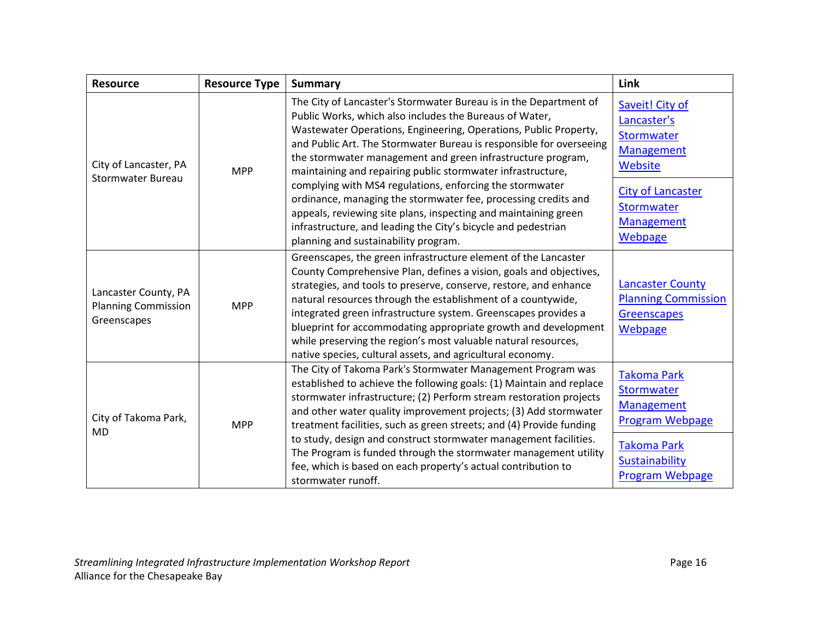| <b>Resource</b>                                                   | <b>Resource Type</b> | <b>Summary</b>                                                                                                                                                                                                                                                                                                                                                                                                                                                                                                                                                                      | Link                                                                                                                                              |
|-------------------------------------------------------------------|----------------------|-------------------------------------------------------------------------------------------------------------------------------------------------------------------------------------------------------------------------------------------------------------------------------------------------------------------------------------------------------------------------------------------------------------------------------------------------------------------------------------------------------------------------------------------------------------------------------------|---------------------------------------------------------------------------------------------------------------------------------------------------|
| City of Lancaster, PA<br><b>Stormwater Bureau</b>                 | <b>MPP</b>           | The City of Lancaster's Stormwater Bureau is in the Department of<br>Public Works, which also includes the Bureaus of Water,<br>Wastewater Operations, Engineering, Operations, Public Property,<br>and Public Art. The Stormwater Bureau is responsible for overseeing<br>the stormwater management and green infrastructure program,<br>maintaining and repairing public stormwater infrastructure,                                                                                                                                                                               | Saveit! City of<br>Lancaster's<br>Stormwater<br><b>Management</b><br>Website                                                                      |
|                                                                   |                      | complying with MS4 regulations, enforcing the stormwater<br>ordinance, managing the stormwater fee, processing credits and<br>appeals, reviewing site plans, inspecting and maintaining green<br>infrastructure, and leading the City's bicycle and pedestrian<br>planning and sustainability program.                                                                                                                                                                                                                                                                              | <b>City of Lancaster</b><br>Stormwater<br><b>Management</b><br>Webpage                                                                            |
| Lancaster County, PA<br><b>Planning Commission</b><br>Greenscapes | <b>MPP</b>           | Greenscapes, the green infrastructure element of the Lancaster<br>County Comprehensive Plan, defines a vision, goals and objectives,<br>strategies, and tools to preserve, conserve, restore, and enhance<br>natural resources through the establishment of a countywide,<br>integrated green infrastructure system. Greenscapes provides a<br>blueprint for accommodating appropriate growth and development<br>while preserving the region's most valuable natural resources,<br>native species, cultural assets, and agricultural economy.                                       | <b>Lancaster County</b><br><b>Planning Commission</b><br>Greenscapes<br>Webpage                                                                   |
| City of Takoma Park,<br><b>MD</b>                                 | <b>MPP</b>           | The City of Takoma Park's Stormwater Management Program was<br>established to achieve the following goals: (1) Maintain and replace<br>stormwater infrastructure; (2) Perform stream restoration projects<br>and other water quality improvement projects; (3) Add stormwater<br>treatment facilities, such as green streets; and (4) Provide funding<br>to study, design and construct stormwater management facilities.<br>The Program is funded through the stormwater management utility<br>fee, which is based on each property's actual contribution to<br>stormwater runoff. | <b>Takoma Park</b><br>Stormwater<br><b>Management</b><br><b>Program Webpage</b><br><b>Takoma Park</b><br>Sustainability<br><b>Program Webpage</b> |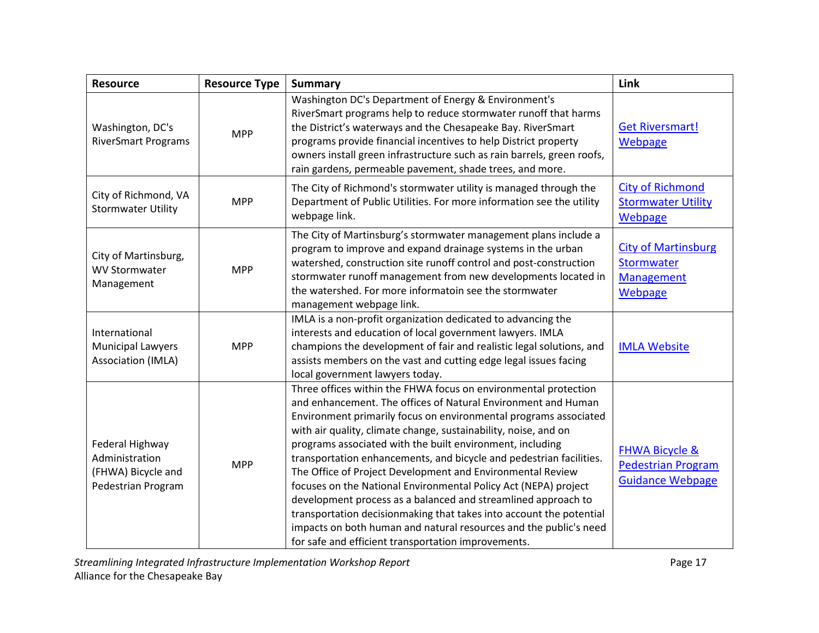| <b>Resource</b>                                                               | <b>Resource Type</b> | <b>Summary</b>                                                                                                                                                                                                                                                                                                                                                                                                                                                                                                                                                                                                                                                                                                                                                                                                   | Link                                                                              |
|-------------------------------------------------------------------------------|----------------------|------------------------------------------------------------------------------------------------------------------------------------------------------------------------------------------------------------------------------------------------------------------------------------------------------------------------------------------------------------------------------------------------------------------------------------------------------------------------------------------------------------------------------------------------------------------------------------------------------------------------------------------------------------------------------------------------------------------------------------------------------------------------------------------------------------------|-----------------------------------------------------------------------------------|
| Washington, DC's<br><b>RiverSmart Programs</b>                                | <b>MPP</b>           | Washington DC's Department of Energy & Environment's<br>RiverSmart programs help to reduce stormwater runoff that harms<br>the District's waterways and the Chesapeake Bay. RiverSmart<br>programs provide financial incentives to help District property<br>owners install green infrastructure such as rain barrels, green roofs,<br>rain gardens, permeable pavement, shade trees, and more.                                                                                                                                                                                                                                                                                                                                                                                                                  | <b>Get Riversmart!</b><br>Webpage                                                 |
| City of Richmond, VA<br><b>Stormwater Utility</b>                             | <b>MPP</b>           | The City of Richmond's stormwater utility is managed through the<br>Department of Public Utilities. For more information see the utility<br>webpage link.                                                                                                                                                                                                                                                                                                                                                                                                                                                                                                                                                                                                                                                        | <b>City of Richmond</b><br><b>Stormwater Utility</b><br>Webpage                   |
| City of Martinsburg,<br><b>WV Stormwater</b><br>Management                    | <b>MPP</b>           | The City of Martinsburg's stormwater management plans include a<br>program to improve and expand drainage systems in the urban<br>watershed, construction site runoff control and post-construction<br>stormwater runoff management from new developments located in<br>the watershed. For more informatoin see the stormwater<br>management webpage link.                                                                                                                                                                                                                                                                                                                                                                                                                                                       | <b>City of Martinsburg</b><br>Stormwater<br><b>Management</b><br>Webpage          |
| International<br><b>Municipal Lawyers</b><br>Association (IMLA)               | <b>MPP</b>           | IMLA is a non-profit organization dedicated to advancing the<br>interests and education of local government lawyers. IMLA<br>champions the development of fair and realistic legal solutions, and<br>assists members on the vast and cutting edge legal issues facing<br>local government lawyers today.                                                                                                                                                                                                                                                                                                                                                                                                                                                                                                         | <b>IMLA Website</b>                                                               |
| Federal Highway<br>Administration<br>(FHWA) Bicycle and<br>Pedestrian Program | <b>MPP</b>           | Three offices within the FHWA focus on environmental protection<br>and enhancement. The offices of Natural Environment and Human<br>Environment primarily focus on environmental programs associated<br>with air quality, climate change, sustainability, noise, and on<br>programs associated with the built environment, including<br>transportation enhancements, and bicycle and pedestrian facilities.<br>The Office of Project Development and Environmental Review<br>focuses on the National Environmental Policy Act (NEPA) project<br>development process as a balanced and streamlined approach to<br>transportation decisionmaking that takes into account the potential<br>impacts on both human and natural resources and the public's need<br>for safe and efficient transportation improvements. | <b>FHWA Bicycle &amp;</b><br><b>Pedestrian Program</b><br><b>Guidance Webpage</b> |

*Streamlining Integrated Infrastructure Implementation Workshop Report* **Page 17** Page 17 Alliance for the Chesapeake Bay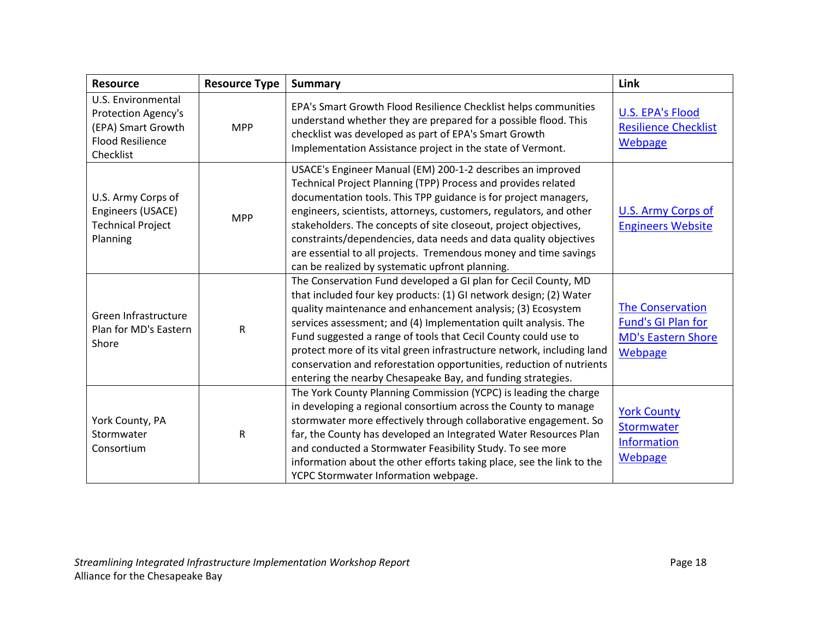| <b>Resource</b>                                                                                         | <b>Resource Type</b> | <b>Summary</b>                                                                                                                                                                                                                                                                                                                                                                                                                                                                                                                                           | Link                                                                                         |
|---------------------------------------------------------------------------------------------------------|----------------------|----------------------------------------------------------------------------------------------------------------------------------------------------------------------------------------------------------------------------------------------------------------------------------------------------------------------------------------------------------------------------------------------------------------------------------------------------------------------------------------------------------------------------------------------------------|----------------------------------------------------------------------------------------------|
| U.S. Environmental<br>Protection Agency's<br>(EPA) Smart Growth<br><b>Flood Resilience</b><br>Checklist | <b>MPP</b>           | EPA's Smart Growth Flood Resilience Checklist helps communities<br>understand whether they are prepared for a possible flood. This<br>checklist was developed as part of EPA's Smart Growth<br>Implementation Assistance project in the state of Vermont.                                                                                                                                                                                                                                                                                                | <b>U.S. EPA's Flood</b><br><b>Resilience Checklist</b><br>Webpage                            |
| U.S. Army Corps of<br>Engineers (USACE)<br><b>Technical Project</b><br>Planning                         | <b>MPP</b>           | USACE's Engineer Manual (EM) 200-1-2 describes an improved<br>Technical Project Planning (TPP) Process and provides related<br>documentation tools. This TPP guidance is for project managers,<br>engineers, scientists, attorneys, customers, regulators, and other<br>stakeholders. The concepts of site closeout, project objectives,<br>constraints/dependencies, data needs and data quality objectives<br>are essential to all projects. Tremendous money and time savings<br>can be realized by systematic upfront planning.                      | U.S. Army Corps of<br><b>Engineers Website</b>                                               |
| Green Infrastructure<br>Plan for MD's Eastern<br>Shore                                                  | ${\sf R}$            | The Conservation Fund developed a GI plan for Cecil County, MD<br>that included four key products: (1) GI network design; (2) Water<br>quality maintenance and enhancement analysis; (3) Ecosystem<br>services assessment; and (4) Implementation quilt analysis. The<br>Fund suggested a range of tools that Cecil County could use to<br>protect more of its vital green infrastructure network, including land<br>conservation and reforestation opportunities, reduction of nutrients<br>entering the nearby Chesapeake Bay, and funding strategies. | <b>The Conservation</b><br><b>Fund's GI Plan for</b><br><b>MD's Eastern Shore</b><br>Webpage |
| York County, PA<br>Stormwater<br>Consortium                                                             | ${\sf R}$            | The York County Planning Commission (YCPC) is leading the charge<br>in developing a regional consortium across the County to manage<br>stormwater more effectively through collaborative engagement. So<br>far, the County has developed an Integrated Water Resources Plan<br>and conducted a Stormwater Feasibility Study. To see more<br>information about the other efforts taking place, see the link to the<br>YCPC Stormwater Information webpage.                                                                                                | <b>York County</b><br>Stormwater<br><b>Information</b><br>Webpage                            |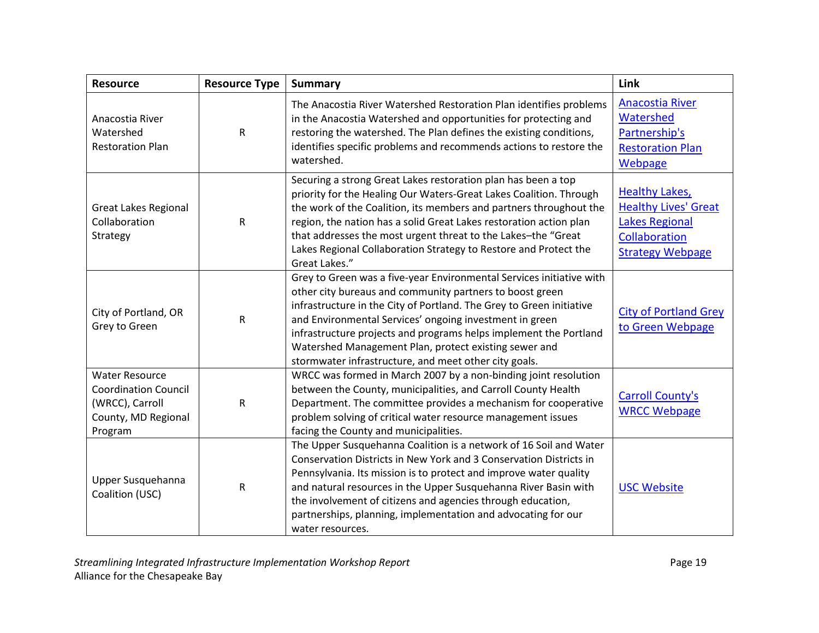| <b>Resource</b>                                                                                           | <b>Resource Type</b> | <b>Summary</b>                                                                                                                                                                                                                                                                                                                                                                                                                                             | Link                                                                                                                      |
|-----------------------------------------------------------------------------------------------------------|----------------------|------------------------------------------------------------------------------------------------------------------------------------------------------------------------------------------------------------------------------------------------------------------------------------------------------------------------------------------------------------------------------------------------------------------------------------------------------------|---------------------------------------------------------------------------------------------------------------------------|
| Anacostia River<br>Watershed<br><b>Restoration Plan</b>                                                   | $\mathsf R$          | The Anacostia River Watershed Restoration Plan identifies problems<br>in the Anacostia Watershed and opportunities for protecting and<br>restoring the watershed. The Plan defines the existing conditions,<br>identifies specific problems and recommends actions to restore the<br>watershed.                                                                                                                                                            | <b>Anacostia River</b><br>Watershed<br>Partnership's<br><b>Restoration Plan</b><br>Webpage                                |
| <b>Great Lakes Regional</b><br>Collaboration<br>Strategy                                                  | $\mathsf R$          | Securing a strong Great Lakes restoration plan has been a top<br>priority for the Healing Our Waters-Great Lakes Coalition. Through<br>the work of the Coalition, its members and partners throughout the<br>region, the nation has a solid Great Lakes restoration action plan<br>that addresses the most urgent threat to the Lakes-the "Great<br>Lakes Regional Collaboration Strategy to Restore and Protect the<br>Great Lakes."                      | <b>Healthy Lakes,</b><br><b>Healthy Lives' Great</b><br><b>Lakes Regional</b><br>Collaboration<br><b>Strategy Webpage</b> |
| City of Portland, OR<br>Grey to Green                                                                     | ${\sf R}$            | Grey to Green was a five-year Environmental Services initiative with<br>other city bureaus and community partners to boost green<br>infrastructure in the City of Portland. The Grey to Green initiative<br>and Environmental Services' ongoing investment in green<br>infrastructure projects and programs helps implement the Portland<br>Watershed Management Plan, protect existing sewer and<br>stormwater infrastructure, and meet other city goals. | <b>City of Portland Grey</b><br>to Green Webpage                                                                          |
| <b>Water Resource</b><br><b>Coordination Council</b><br>(WRCC), Carroll<br>County, MD Regional<br>Program | ${\sf R}$            | WRCC was formed in March 2007 by a non-binding joint resolution<br>between the County, municipalities, and Carroll County Health<br>Department. The committee provides a mechanism for cooperative<br>problem solving of critical water resource management issues<br>facing the County and municipalities.                                                                                                                                                | <b>Carroll County's</b><br><b>WRCC Webpage</b>                                                                            |
| Upper Susquehanna<br>Coalition (USC)                                                                      | ${\sf R}$            | The Upper Susquehanna Coalition is a network of 16 Soil and Water<br>Conservation Districts in New York and 3 Conservation Districts in<br>Pennsylvania. Its mission is to protect and improve water quality<br>and natural resources in the Upper Susquehanna River Basin with<br>the involvement of citizens and agencies through education,<br>partnerships, planning, implementation and advocating for our<br>water resources.                        | <b>USC Website</b>                                                                                                        |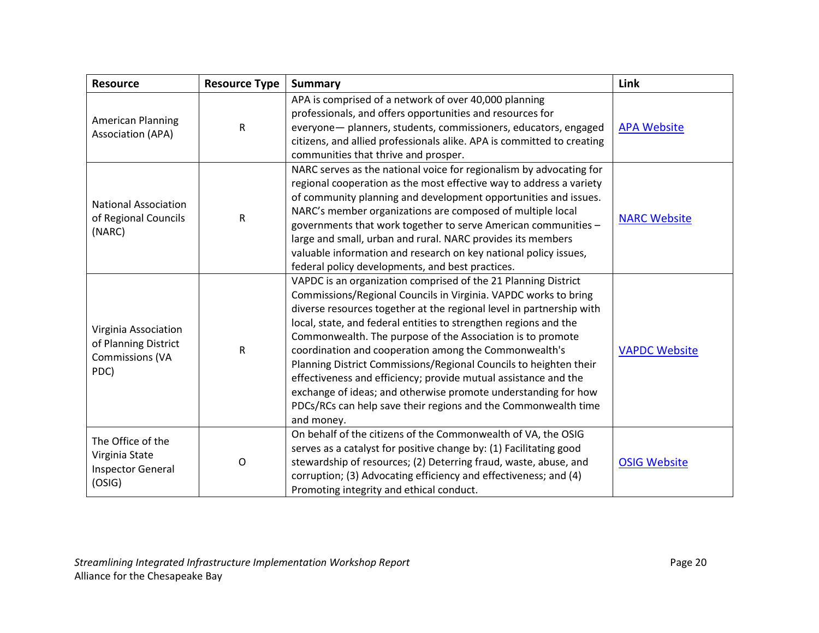| <b>Resource</b>                                                                | <b>Resource Type</b> | <b>Summary</b>                                                                                                                                                                                                                                                                                                                                                                                                                                                                                                                                                                                                                                                                                 | Link                 |
|--------------------------------------------------------------------------------|----------------------|------------------------------------------------------------------------------------------------------------------------------------------------------------------------------------------------------------------------------------------------------------------------------------------------------------------------------------------------------------------------------------------------------------------------------------------------------------------------------------------------------------------------------------------------------------------------------------------------------------------------------------------------------------------------------------------------|----------------------|
| <b>American Planning</b><br><b>Association (APA)</b>                           | R                    | APA is comprised of a network of over 40,000 planning<br>professionals, and offers opportunities and resources for<br>everyone- planners, students, commissioners, educators, engaged<br>citizens, and allied professionals alike. APA is committed to creating<br>communities that thrive and prosper.                                                                                                                                                                                                                                                                                                                                                                                        | <b>APA Website</b>   |
| <b>National Association</b><br>of Regional Councils<br>(NARC)                  | ${\sf R}$            | NARC serves as the national voice for regionalism by advocating for<br>regional cooperation as the most effective way to address a variety<br>of community planning and development opportunities and issues.<br>NARC's member organizations are composed of multiple local<br>governments that work together to serve American communities -<br>large and small, urban and rural. NARC provides its members<br>valuable information and research on key national policy issues,<br>federal policy developments, and best practices.                                                                                                                                                           | <b>NARC Website</b>  |
| Virginia Association<br>of Planning District<br><b>Commissions (VA</b><br>PDC) | ${\sf R}$            | VAPDC is an organization comprised of the 21 Planning District<br>Commissions/Regional Councils in Virginia. VAPDC works to bring<br>diverse resources together at the regional level in partnership with<br>local, state, and federal entities to strengthen regions and the<br>Commonwealth. The purpose of the Association is to promote<br>coordination and cooperation among the Commonwealth's<br>Planning District Commissions/Regional Councils to heighten their<br>effectiveness and efficiency; provide mutual assistance and the<br>exchange of ideas; and otherwise promote understanding for how<br>PDCs/RCs can help save their regions and the Commonwealth time<br>and money. | <b>VAPDC Website</b> |
| The Office of the<br>Virginia State<br><b>Inspector General</b><br>(OSIG)      | O                    | On behalf of the citizens of the Commonwealth of VA, the OSIG<br>serves as a catalyst for positive change by: (1) Facilitating good<br>stewardship of resources; (2) Deterring fraud, waste, abuse, and<br>corruption; (3) Advocating efficiency and effectiveness; and (4)<br>Promoting integrity and ethical conduct.                                                                                                                                                                                                                                                                                                                                                                        | <b>OSIG Website</b>  |